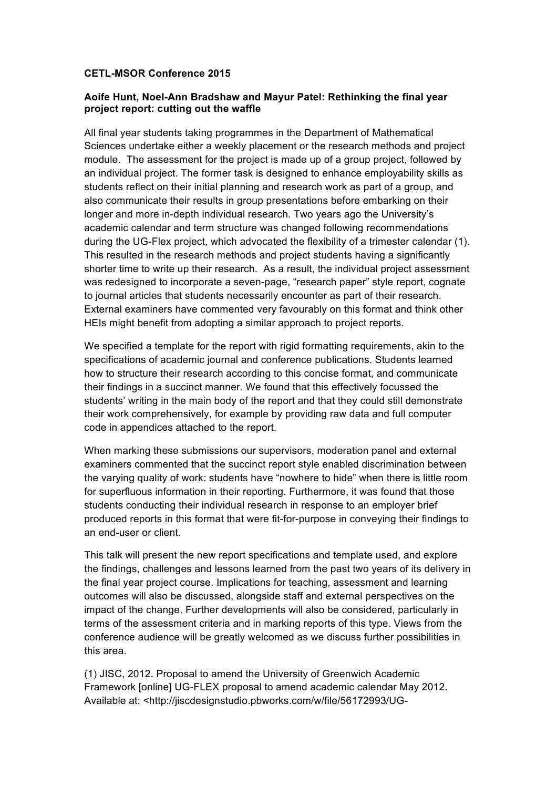## **CETL-MSOR Conference 2015**

## **Aoife Hunt, Noel-Ann Bradshaw and Mayur Patel: Rethinking the final year project report: cutting out the waffle**

All final year students taking programmes in the Department of Mathematical Sciences undertake either a weekly placement or the research methods and project module. The assessment for the project is made up of a group project, followed by an individual project. The former task is designed to enhance employability skills as students reflect on their initial planning and research work as part of a group, and also communicate their results in group presentations before embarking on their longer and more in-depth individual research. Two years ago the University's academic calendar and term structure was changed following recommendations during the UG-Flex project, which advocated the flexibility of a trimester calendar (1). This resulted in the research methods and project students having a significantly shorter time to write up their research. As a result, the individual project assessment was redesigned to incorporate a seven-page, "research paper" style report, cognate to journal articles that students necessarily encounter as part of their research. External examiners have commented very favourably on this format and think other HEIs might benefit from adopting a similar approach to project reports.

We specified a template for the report with rigid formatting requirements, akin to the specifications of academic journal and conference publications. Students learned how to structure their research according to this concise format, and communicate their findings in a succinct manner. We found that this effectively focussed the students' writing in the main body of the report and that they could still demonstrate their work comprehensively, for example by providing raw data and full computer code in appendices attached to the report.

When marking these submissions our supervisors, moderation panel and external examiners commented that the succinct report style enabled discrimination between the varying quality of work: students have "nowhere to hide" when there is little room for superfluous information in their reporting. Furthermore, it was found that those students conducting their individual research in response to an employer brief produced reports in this format that were fit-for-purpose in conveying their findings to an end-user or client.

This talk will present the new report specifications and template used, and explore the findings, challenges and lessons learned from the past two years of its delivery in the final year project course. Implications for teaching, assessment and learning outcomes will also be discussed, alongside staff and external perspectives on the impact of the change. Further developments will also be considered, particularly in terms of the assessment criteria and in marking reports of this type. Views from the conference audience will be greatly welcomed as we discuss further possibilities in this area.

(1) JISC, 2012. Proposal to amend the University of Greenwich Academic Framework [online] UG-FLEX proposal to amend academic calendar May 2012. Available at: <http://jiscdesignstudio.pbworks.com/w/file/56172993/UG-